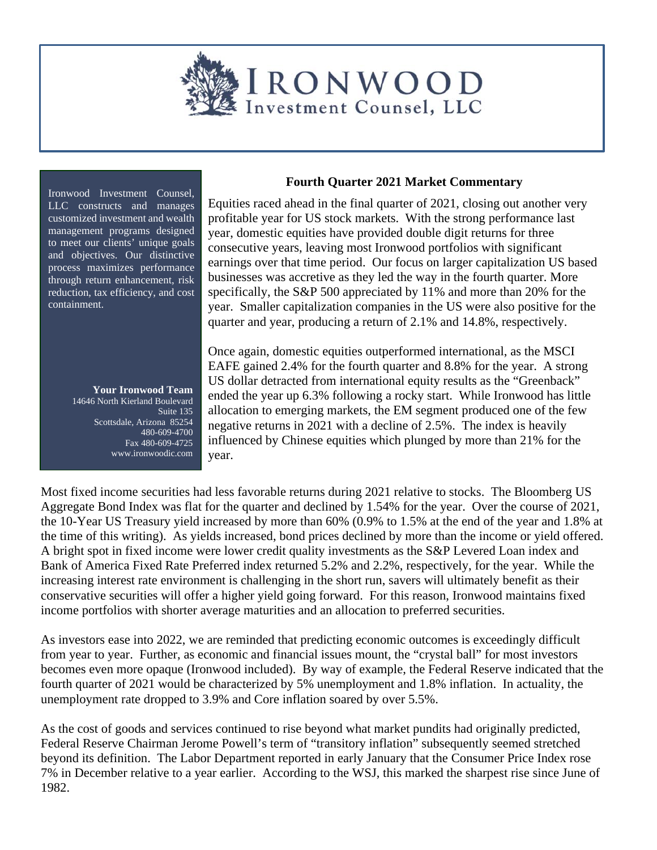

Ironwood Investment Counsel, LLC constructs and manages customized investment and wealth management programs designed to meet our clients' unique goals and objectives. Our distinctive process maximizes performance through return enhancement, risk reduction, tax efficiency, and cost containment.

> **Your Ironwood Team**  14646 North Kierland Boulevard Suite 135 Scottsdale, Arizona 85254 480-609-4700 Fax 480-609-4725 www.ironwoodic.com

## **Fourth Quarter 2021 Market Commentary**

Equities raced ahead in the final quarter of 2021, closing out another very profitable year for US stock markets. With the strong performance last year, domestic equities have provided double digit returns for three consecutive years, leaving most Ironwood portfolios with significant earnings over that time period. Our focus on larger capitalization US based businesses was accretive as they led the way in the fourth quarter. More specifically, the S&P 500 appreciated by 11% and more than 20% for the year. Smaller capitalization companies in the US were also positive for the quarter and year, producing a return of 2.1% and 14.8%, respectively.

Once again, domestic equities outperformed international, as the MSCI EAFE gained 2.4% for the fourth quarter and 8.8% for the year. A strong US dollar detracted from international equity results as the "Greenback" ended the year up 6.3% following a rocky start. While Ironwood has little allocation to emerging markets, the EM segment produced one of the few negative returns in 2021 with a decline of 2.5%. The index is heavily influenced by Chinese equities which plunged by more than 21% for the year.

Most fixed income securities had less favorable returns during 2021 relative to stocks. The Bloomberg US Aggregate Bond Index was flat for the quarter and declined by 1.54% for the year. Over the course of 2021, the 10-Year US Treasury yield increased by more than 60% (0.9% to 1.5% at the end of the year and 1.8% at the time of this writing). As yields increased, bond prices declined by more than the income or yield offered. A bright spot in fixed income were lower credit quality investments as the S&P Levered Loan index and Bank of America Fixed Rate Preferred index returned 5.2% and 2.2%, respectively, for the year. While the increasing interest rate environment is challenging in the short run, savers will ultimately benefit as their conservative securities will offer a higher yield going forward. For this reason, Ironwood maintains fixed income portfolios with shorter average maturities and an allocation to preferred securities.

As investors ease into 2022, we are reminded that predicting economic outcomes is exceedingly difficult from year to year. Further, as economic and financial issues mount, the "crystal ball" for most investors becomes even more opaque (Ironwood included). By way of example, the Federal Reserve indicated that the fourth quarter of 2021 would be characterized by 5% unemployment and 1.8% inflation. In actuality, the unemployment rate dropped to 3.9% and Core inflation soared by over 5.5%.

As the cost of goods and services continued to rise beyond what market pundits had originally predicted, Federal Reserve Chairman Jerome Powell's term of "transitory inflation" subsequently seemed stretched beyond its definition. The Labor Department reported in early January that the Consumer Price Index rose 7% in December relative to a year earlier. According to the WSJ, this marked the sharpest rise since June of 1982.